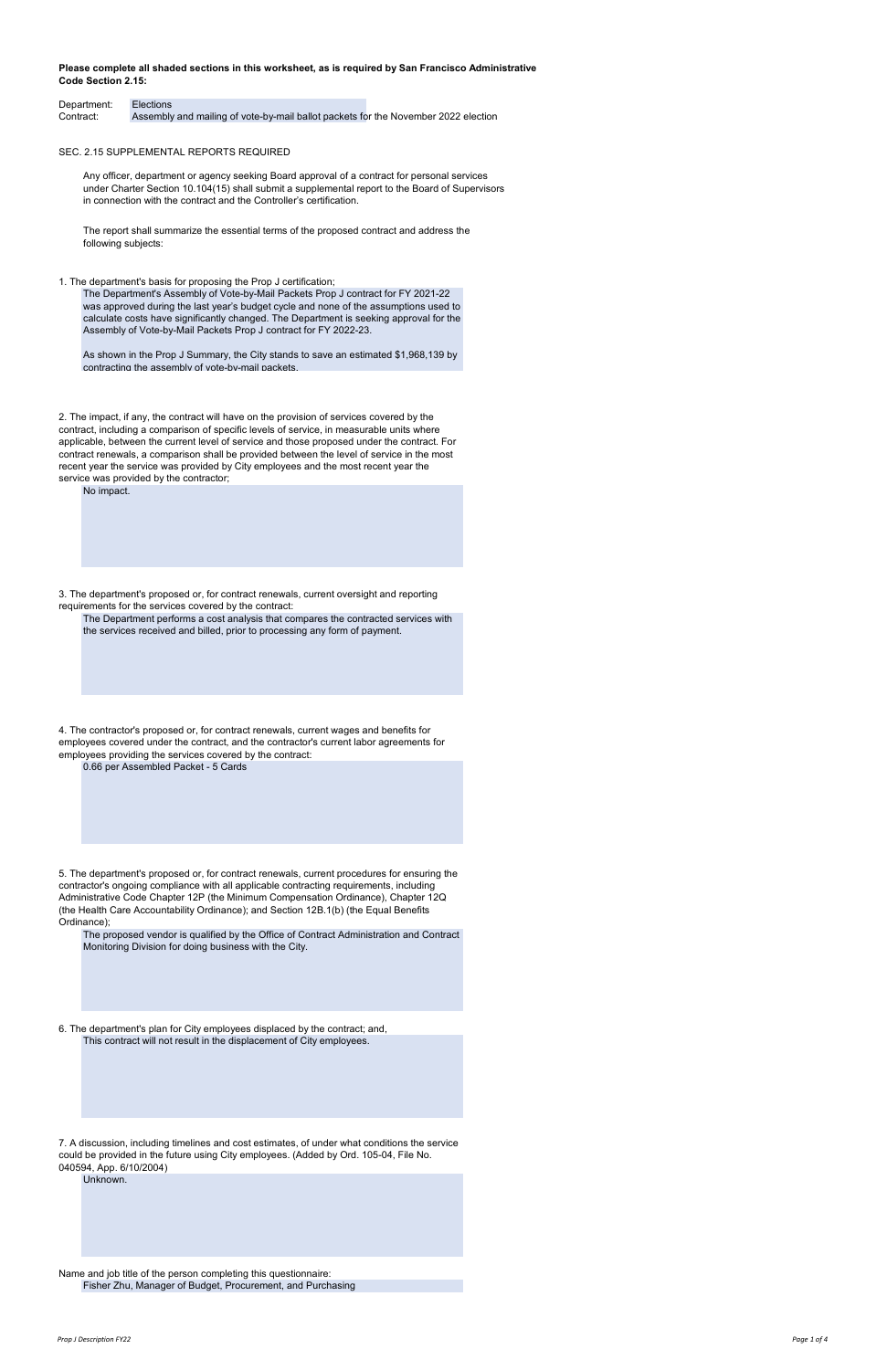| Department: Elections |                                                                                    |  |
|-----------------------|------------------------------------------------------------------------------------|--|
| Contract:             | Assembly and mailing of vote-by-mail ballot packets for the November 2022 election |  |

SEC. 2.15 SUPPLEMENTAL REPORTS REQUIRED

Name and job title of the person completing this questionnaire:

contractor's ongoing compliance with all applicable contracting requirements, including Administrative Code Chapter 12P (the Minimum Compensation Ordinance), Chapter 12Q (the Health Care Accountability Ordinance); and Section 12B.1(b) (the Equal Benefits Ordinance);

7. A discussion, including timelines and cost estimates, of under what conditions the service could be provided in the future using City employees. (Added by Ord. 105-04, File No. 040594, App. 6/10/2004)

6. The department's plan for City employees displaced by the contract; and, This contract will not result in the displacement of City employees.

Fisher Zhu, Manager of Budget, Procurement, and Purchasing

The proposed vendor is qualified by the Office of Contract Administration and Contract Monitoring Division for doing business with the City.

Unknown.

### **Please complete all shaded sections in this worksheet, as is required by San Francisco Administrative Code Section 2.15:**

Any officer, department or agency seeking Board approval of a contract for personal services under Charter Section 10.104(15) shall submit a supplemental report to the Board of Supervisors in connection with the contract and the Controller's certification.

The report shall summarize the essential terms of the proposed contract and address the following subjects:

1. The department's basis for proposing the Prop J certification;

2. The impact, if any, the contract will have on the provision of services covered by the contract, including a comparison of specific levels of service, in measurable units where applicable, between the current level of service and those proposed under the contract. For contract renewals, a comparison shall be provided between the level of service in the most recent year the service was provided by City employees and the most recent year the service was provided by the contractor;

3. The department's proposed or, for contract renewals, current oversight and reporting requirements for the services covered by the contract:

The Department performs a cost analysis that compares the contracted services with the services received and billed, prior to processing any form of payment.

No impact.

The Department's Assembly of Vote-by-Mail Packets Prop J contract for FY 2021-22 was approved during the last year's budget cycle and none of the assumptions used to calculate costs have significantly changed. The Department is seeking approval for the Assembly of Vote-by-Mail Packets Prop J contract for FY 2022-23.

As shown in the Prop J Summary, the City stands to save an estimated \$1,968,139 by contracting the assembly of vote-by-mail packets.

0.66 per Assembled Packet - 5 Cards

4. The contractor's proposed or, for contract renewals, current wages and benefits for employees covered under the contract, and the contractor's current labor agreements for employees providing the services covered by the contract: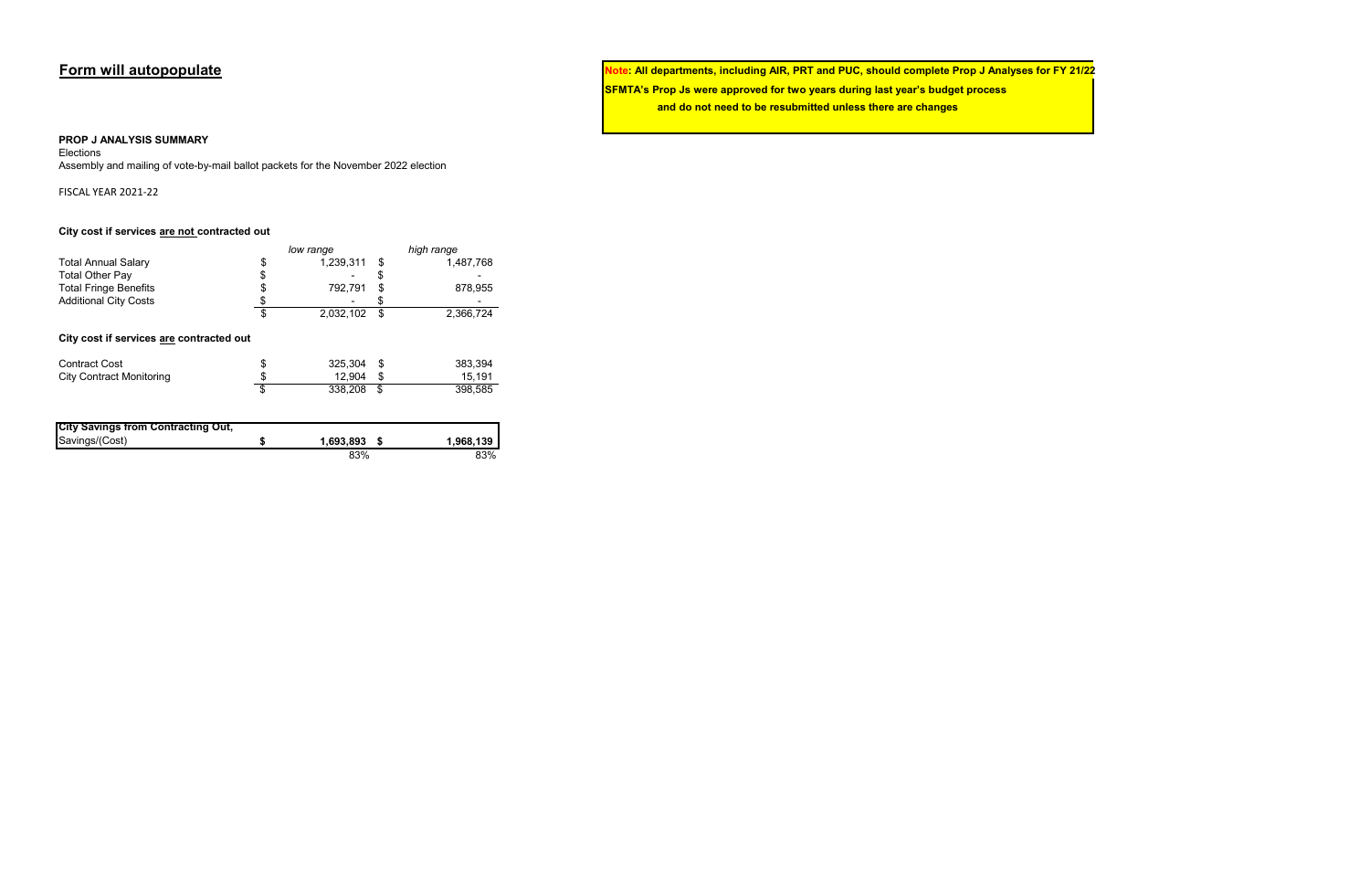**Form will autopopulate Note: All departments, including AIR, PRT and PUC, should complete Prop J Analyses for FY 21/22 SFMTA's Prop Js were approved for two years during last year's budget process and do not need to be resubmitted unless there are changes**

### **PROP J ANALYSIS SUMMARY**

Elections

Assembly and mailing of vote-by-mail ballot packets for the November 2022 election

FISCAL YEAR 2021-22

### **City cost if services are not contracted out**

|                                                        | low range       | high range      |  |  |  |  |
|--------------------------------------------------------|-----------------|-----------------|--|--|--|--|
| <b>Total Annual Salary</b>                             | \$<br>1,239,311 | \$<br>1,487,768 |  |  |  |  |
| <b>Total Other Pay</b>                                 | \$              | \$              |  |  |  |  |
| <b>Total Fringe Benefits</b>                           | \$<br>792,791   | \$<br>878,955   |  |  |  |  |
| <b>Additional City Costs</b>                           |                 | \$              |  |  |  |  |
|                                                        | \$<br>2,032,102 | \$<br>2,366,724 |  |  |  |  |
| City cost if services are contracted out               |                 |                 |  |  |  |  |
| <b>Contract Cost</b>                                   | 325,304         | \$<br>383,394   |  |  |  |  |
| <b>City Contract Monitoring</b>                        | 12,904          | \$<br>15,191    |  |  |  |  |
|                                                        | \$<br>338,208   | \$<br>398,585   |  |  |  |  |
|                                                        |                 |                 |  |  |  |  |
| <b>City Savings from Contracting Out,</b><br>0.1110111 |                 |                 |  |  |  |  |

| Savings/(Cost) | 1,693,893 | 1,968,139 |
|----------------|-----------|-----------|
|                | 83%       | 83%       |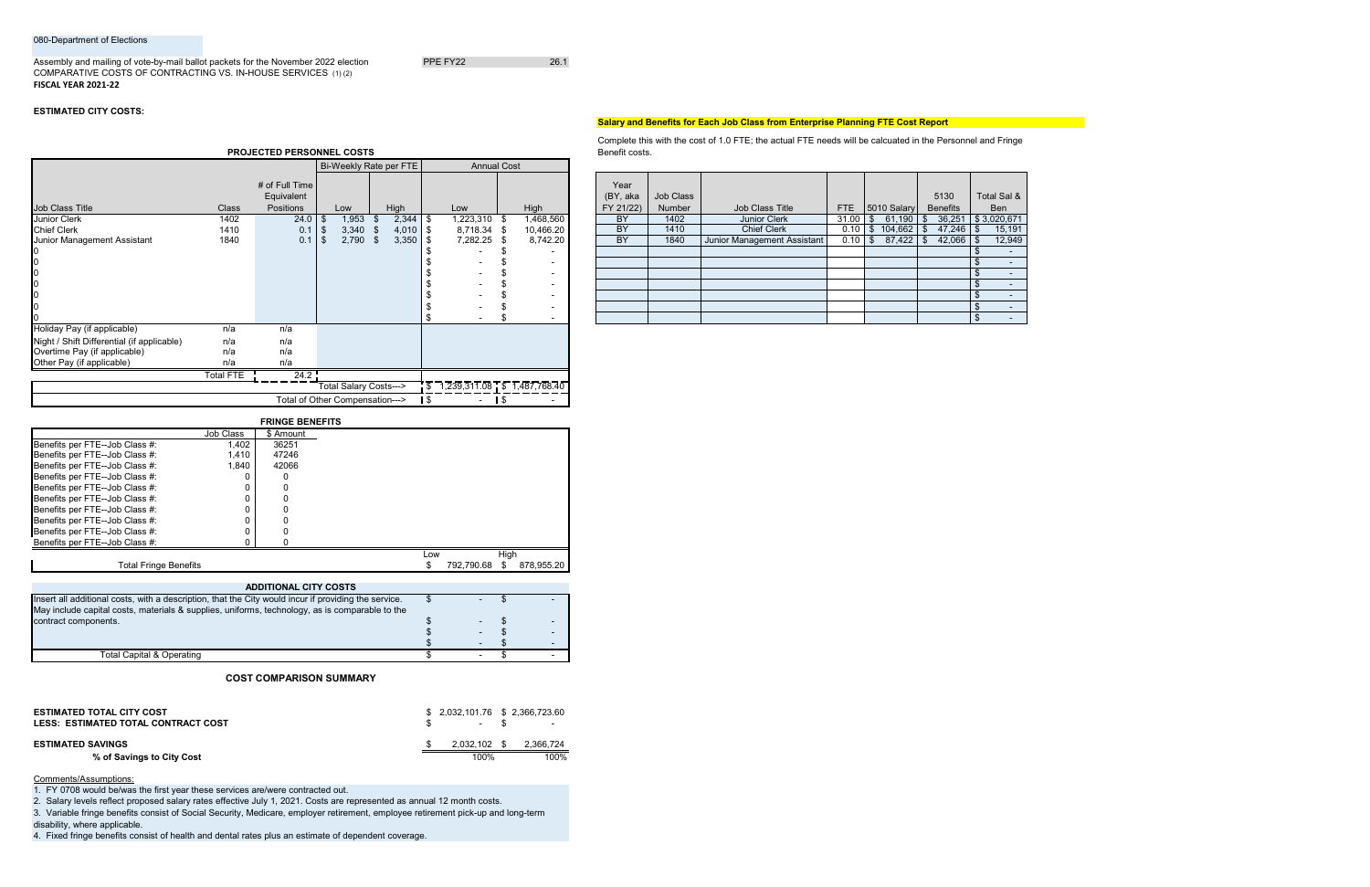### 080-Department of Elections

### Assembly and mailing of vote-by-mail ballot packets for the November 2022 election PPE FY22 PPE FY22 COMPARATIVE COSTS OF CONTRACTING VS. IN-HOUSE SERVICES (1) (2) **FISCAL YEAR 2021-22**

## **ESTIMATED CITY COSTS:**

## **Salary and Benefits for Each Job Class from Enterprise Planning FTE Cost Report**

| Year<br>(BY, aka<br>FY 21/22) | Job Class<br><b>Number</b> | <b>Job Class Title</b>      | <b>FTE</b> | 5010 Salary   | 5130<br><b>Benefits</b> | Total Sal &<br><b>Ben</b> |
|-------------------------------|----------------------------|-----------------------------|------------|---------------|-------------------------|---------------------------|
| BY                            | 1402                       | <b>Junior Clerk</b>         | 31.00      | 61,190<br>\$  | 36,251<br>\$            | \$3,020,671               |
| BY                            | 1410                       | <b>Chief Clerk</b>          | 0.10       | 104,662<br>\$ | 47,246<br>$\frac{1}{2}$ | 15,191<br>\$              |
| <b>BY</b>                     | 1840                       | Junior Management Assistant | 0.10       | 87,422<br>\$  | -\$<br>42,066           | 12,949<br>\$              |
|                               |                            |                             |            |               |                         | \$                        |
|                               |                            |                             |            |               |                         | \$                        |
|                               |                            |                             |            |               |                         | $\frac{1}{2}$             |
|                               |                            |                             |            |               |                         | \$                        |
|                               |                            |                             |            |               |                         | \$                        |
|                               |                            |                             |            |               |                         | \$                        |
|                               |                            |                             |            |               |                         | $\frac{1}{2}$             |

Bi-Weekly Rate per FTE | Annual Cost

|                                |           | <b>FRINGE DENEFITS</b> |     |            |      |            |
|--------------------------------|-----------|------------------------|-----|------------|------|------------|
|                                | Job Class | \$ Amount              |     |            |      |            |
| Benefits per FTE--Job Class #: | 1,402     | 36251                  |     |            |      |            |
| Benefits per FTE--Job Class #: | 1,410     | 47246                  |     |            |      |            |
| Benefits per FTE--Job Class #: | 1,840     | 42066                  |     |            |      |            |
| Benefits per FTE--Job Class #: |           |                        |     |            |      |            |
| Benefits per FTE--Job Class #: |           |                        |     |            |      |            |
| Benefits per FTE--Job Class #: |           |                        |     |            |      |            |
| Benefits per FTE--Job Class #: |           |                        |     |            |      |            |
| Benefits per FTE--Job Class #: |           |                        |     |            |      |            |
| Benefits per FTE--Job Class #: |           |                        |     |            |      |            |
| Benefits per FTE--Job Class #: |           |                        |     |            |      |            |
|                                |           |                        | Low |            | High |            |
| <b>Total Fringe Benefits</b>   |           |                        |     | 792.790.68 |      | 878.955.20 |

|                                            |                  | # of Full Time |       |      |            |             |           | Year      |           |                             |               |                      |             |                     |
|--------------------------------------------|------------------|----------------|-------|------|------------|-------------|-----------|-----------|-----------|-----------------------------|---------------|----------------------|-------------|---------------------|
|                                            |                  | Equivalent     |       |      |            |             |           | (BY, aka  | Job Class |                             |               |                      | 5130        | Total Sal &         |
| Job Class Title                            | Class            | Positions      | Low   |      | High       | Low         | High      | FY 21/22) | Number    | Job Class Title             |               | FTE 5010 Salary      | Benefits    | Ben                 |
| <b>Junior Clerk</b>                        | 1402             | $24.0$   \$    |       | ,953 | 2,344      | 1,223,310   | 1,468,560 | BY        | 1402      | Junior Clerk                | $31.00$ \$    | $61,190$ $\sqrt$     |             | 36,251 \$ 3,020,671 |
| <b>Chief Clerk</b>                         | 1410             | 0.1            | 3,340 |      | $4,010$ \$ | 8,718.34 \$ | 10,466.20 | <b>BY</b> | 1410      | <b>Chief Clerk</b>          |               | $0.10$ \$ 104,662 \$ |             | 15,191              |
| Junior Management Assistant                | 1840             | 0.1            | 2,790 | - 35 | 3,350      | 7,282.25 \$ | 8,742.20  | BY        | 1840      | Junior Management Assistant | $0.10$ \ \ \$ |                      | $42,066$ \$ | 12,949              |
|                                            |                  |                |       |      |            |             |           |           |           |                             |               |                      |             |                     |
|                                            |                  |                |       |      |            |             | $\sim$    |           |           |                             |               |                      |             |                     |
|                                            |                  |                |       |      |            |             | $\sim$    |           |           |                             |               |                      |             |                     |
| 0                                          |                  |                |       |      |            |             | $\sim$    |           |           |                             |               |                      |             |                     |
| 0                                          |                  |                |       |      |            |             |           |           |           |                             |               |                      |             |                     |
| 0                                          |                  |                |       |      |            |             | $\sim$    |           |           |                             |               |                      |             |                     |
|                                            |                  |                |       |      |            |             |           |           |           |                             |               |                      |             |                     |
| Holiday Pay (if applicable)                | n/a              | n/a            |       |      |            |             |           |           |           |                             |               |                      |             |                     |
| Night / Shift Differential (if applicable) | n/a              | n/a            |       |      |            |             |           |           |           |                             |               |                      |             |                     |
| Overtime Pay (if applicable)               | n/a              | n/a            |       |      |            |             |           |           |           |                             |               |                      |             |                     |
| Other Pay (if applicable)                  | n/a              | n/a            |       |      |            |             |           |           |           |                             |               |                      |             |                     |
|                                            | <b>Total FTE</b> | 24.2           |       |      |            |             |           |           |           |                             |               |                      |             |                     |

|                              |           | <b>FRINGE BENEFITS</b> |                                 |                                          |   |
|------------------------------|-----------|------------------------|---------------------------------|------------------------------------------|---|
|                              |           |                        | Total of Other Compensation---> | -                                        | - |
|                              |           |                        | Total Salary Costs--->          | $1,239,311.08$ $\sqrt{5}$ $1,487,768.40$ |   |
|                              | Total FTE | 24.2                   |                                 |                                          |   |
| Other Pay (if applicable)    | n/a       | n/a                    |                                 |                                          |   |
| Overtime Pay (if applicable) | n/a       | n/a                    |                                 |                                          |   |

| <b>ESTIMATED TOTAL CITY COST</b><br>LESS: ESTIMATED TOTAL CONTRACT COST | $$2,032,101.76$ $$2,366,723.60$<br>$\sim$ | $\sim$    |
|-------------------------------------------------------------------------|-------------------------------------------|-----------|
| <b>ESTIMATED SAVINGS</b>                                                | $2.032.102$ \$                            | 2.366.724 |
| % of Savings to City Cost                                               | 100%                                      | 100%      |

## Comments/Assumptions:

4. Fixed fringe benefits consist of health and dental rates plus an estimate of dependent coverage.

| <b>ADDITIONAL CITY COSTS</b>                                                                         |  |  |
|------------------------------------------------------------------------------------------------------|--|--|
| Insert all additional costs, with a description, that the City would incur if providing the service. |  |  |
| May include capital costs, materials & supplies, uniforms, technology, as is comparable to the       |  |  |
| contract components.                                                                                 |  |  |
|                                                                                                      |  |  |
|                                                                                                      |  |  |
| Total Capital & Operating                                                                            |  |  |

3. Variable fringe benefits consist of Social Security, Medicare, employer retirement, employee retirement pick-up and long-term disability, where applicable.

## **COST COMPARISON SUMMARY**

1. FY 0708 would be/was the first year these services are/were contracted out.

2. Salary levels reflect proposed salary rates effective July 1, 2021. Costs are represented as annual 12 month costs.

**PROJECTED PERSONNEL COSTS**

Complete this with the cost of 1.0 FTE; the actual FTE needs will be calcuated in the Personnel and Fringe Benefit costs.